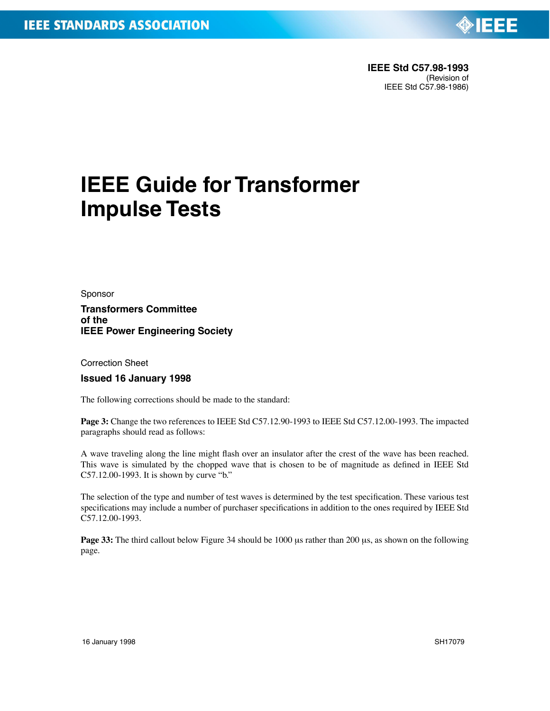

## **IEEE Guide for Transformer Impulse Tests**

Sponsor

**Transformers Committee of the IEEE Power Engineering Society**

Correction Sheet

**Issued 16 January 1998**

The following corrections should be made to the standard:

**Page 3:** Change the two references to IEEE Std C57.12.90-1993 to IEEE Std C57.12.00-1993. The impacted paragraphs should read as follows:

A wave traveling along the line might flash over an insulator after the crest of the wave has been reached. This wave is simulated by the chopped wave that is chosen to be of magnitude as defined in IEEE Std C57.12.00-1993. It is shown by curve "b."

The selection of the type and number of test waves is determined by the test specification. These various test specifications may include a number of purchaser specifications in addition to the ones required by IEEE Std C57.12.00-1993.

**Page 33:** The third callout below Figure 34 should be 1000 us rather than 200 us, as shown on the following page.